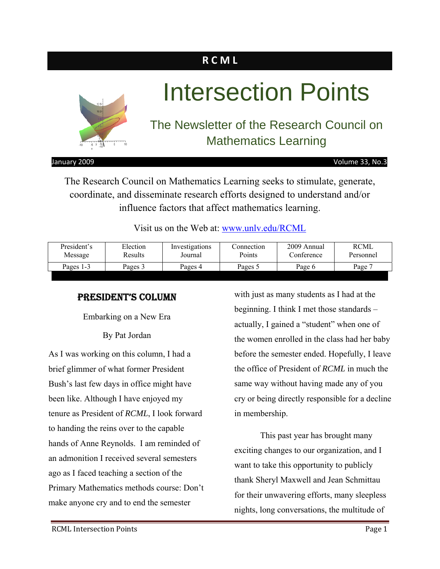### **R C M L**



# Intersection Points

### The Newsletter of the Research Council on Mathematics Learning

January 2009 Volume 33, No.3

The Research Council on Mathematics Learning seeks to stimulate, generate, coordinate, and disseminate research efforts designed to understand and/or influence factors that affect mathematics learning.

Visit us on the Web at: www.unlv.edu/RCML

| President's | Election | Investigations | Connection | 2009 Annual | RCML              |
|-------------|----------|----------------|------------|-------------|-------------------|
| Message     | Results  | Journal        | Points     | Conference  | Personnel         |
| Pages 1-3   | Pages 3  | Pages 4        | Pages 5    | Page 6      | Page <sup>7</sup> |

#### PRESIDENT'S COLUMN

Embarking on a New Era

By Pat Jordan

As I was working on this column, I had a brief glimmer of what former President Bush's last few days in office might have been like. Although I have enjoyed my tenure as President of *RCML*, I look forward to handing the reins over to the capable hands of Anne Reynolds. I am reminded of an admonition I received several semesters ago as I faced teaching a section of the Primary Mathematics methods course: Don't make anyone cry and to end the semester

with just as many students as I had at the beginning. I think I met those standards – actually, I gained a "student" when one of the women enrolled in the class had her baby before the semester ended. Hopefully, I leave the office of President of *RCML* in much the same way without having made any of you cry or being directly responsible for a decline in membership.

This past year has brought many exciting changes to our organization, and I want to take this opportunity to publicly thank Sheryl Maxwell and Jean Schmittau for their unwavering efforts, many sleepless nights, long conversations, the multitude of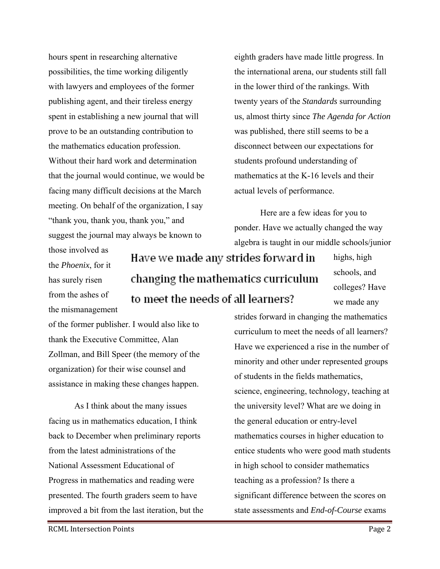hours spent in researching alternative possibilities, the time working diligently with lawyers and employees of the former publishing agent, and their tireless energy spent in establishing a new journal that will prove to be an outstanding contribution to the mathematics education profession. Without their hard work and determination that the journal would continue, we would be facing many difficult decisions at the March meeting. On behalf of the organization, I say "thank you, thank you, thank you," and suggest the journal may always be known to

eighth graders have made little progress. In the international arena, our students still fall in the lower third of the rankings. With twenty years of the *Standards* surrounding us, almost thirty since *The Agenda for Action* was published, there still seems to be a disconnect between our expectations for students profound understanding of mathematics at the K-16 levels and their actual levels of performance.

Here are a few ideas for you to ponder. Have we actually changed the way algebra is taught in our middle schools/junior

those involved as the *Phoenix*, for it has surely risen from the ashes of the mismanagement

Have we made any strides forward in changing the mathematics curriculum to meet the needs of all learners?

highs, high schools, and colleges? Have we made any

of the former publisher. I would also like to thank the Executive Committee, Alan Zollman, and Bill Speer (the memory of the organization) for their wise counsel and assistance in making these changes happen.

 As I think about the many issues facing us in mathematics education, I think back to December when preliminary reports from the latest administrations of the National Assessment Educational of Progress in mathematics and reading were presented. The fourth graders seem to have improved a bit from the last iteration, but the strides forward in changing the mathematics curriculum to meet the needs of all learners? Have we experienced a rise in the number of minority and other under represented groups of students in the fields mathematics, science, engineering, technology, teaching at the university level? What are we doing in the general education or entry-level mathematics courses in higher education to entice students who were good math students in high school to consider mathematics teaching as a profession? Is there a significant difference between the scores on state assessments and *End-of-Course* exams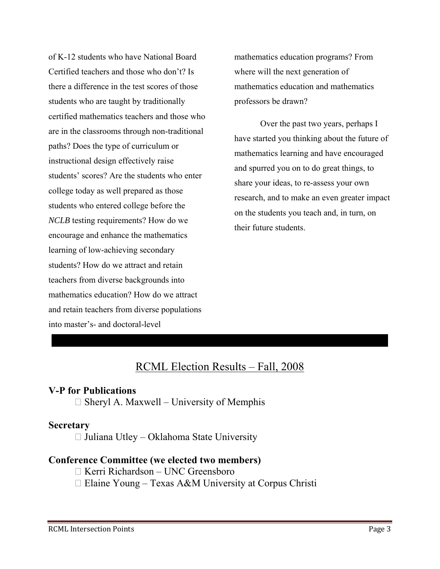of K-12 students who have National Board Certified teachers and those who don't? Is there a difference in the test scores of those students who are taught by traditionally certified mathematics teachers and those who are in the classrooms through non-traditional paths? Does the type of curriculum or instructional design effectively raise students' scores? Are the students who enter college today as well prepared as those students who entered college before the *NCLB* testing requirements? How do we encourage and enhance the mathematics learning of low-achieving secondary students? How do we attract and retain teachers from diverse backgrounds into mathematics education? How do we attract and retain teachers from diverse populations into master's- and doctoral-level

mathematics education programs? From where will the next generation of mathematics education and mathematics professors be drawn?

 Over the past two years, perhaps I have started you thinking about the future of mathematics learning and have encouraged and spurred you on to do great things, to share your ideas, to re-assess your own research, and to make an even greater impact on the students you teach and, in turn, on their future students.

#### RCML Election Results – Fall, 2008

#### **V-P for Publications**

□ Sheryl A. Maxwell – University of Memphis

#### **Secretary**

□ Juliana Utley – Oklahoma State University

#### **Conference Committee (we elected two members)**

 $\Box$  Kerri Richardson – UNC Greensboro

Elaine Young – Texas A&M University at Corpus Christi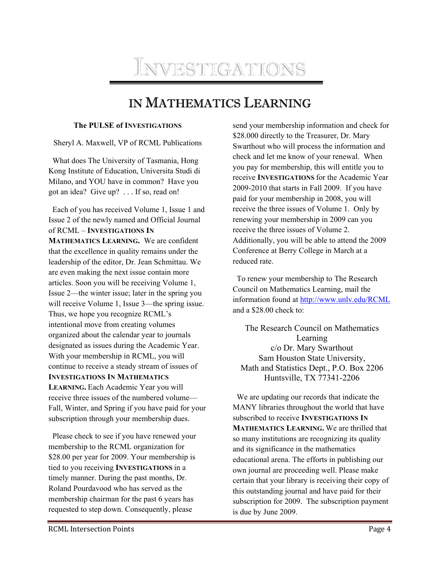

### IN MATHEMATICS LEARNING

#### **The PULSE of INVESTIGATIONS**

Sheryl A. Maxwell, VP of RCML Publications

 What does The University of Tasmania, Hong Kong Institute of Education, Universita Studi di Milano, and YOU have in common? Have you got an idea? Give up? . . . If so, read on!

 Each of you has received Volume 1, Issue 1 and Issue 2 of the newly named and Official Journal of RCML – **INVESTIGATIONS IN**

**MATHEMATICS LEARNING.** We are confident that the excellence in quality remains under the leadership of the editor, Dr. Jean Schmittau. We are even making the next issue contain more articles. Soon you will be receiving Volume 1, Issue 2—the winter issue; later in the spring you will receive Volume 1, Issue 3—the spring issue. Thus, we hope you recognize RCML's intentional move from creating volumes organized about the calendar year to journals designated as issues during the Academic Year. With your membership in RCML, you will continue to receive a steady stream of issues of **INVESTIGATIONS IN MATHEMATICS LEARNING.** Each Academic Year you will receive three issues of the numbered volume— Fall, Winter, and Spring if you have paid for your subscription through your membership dues.

 Please check to see if you have renewed your membership to the RCML organization for \$28.00 per year for 2009. Your membership is tied to you receiving **INVESTIGATIONS** in a timely manner. During the past months, Dr. Roland Pourdavood who has served as the membership chairman for the past 6 years has requested to step down. Consequently, please

send your membership information and check for \$28.000 directly to the Treasurer, Dr. Mary Swarthout who will process the information and check and let me know of your renewal. When you pay for membership, this will entitle you to receive **INVESTIGATIONS** for the Academic Year 2009-2010 that starts in Fall 2009. If you have paid for your membership in 2008, you will receive the three issues of Volume 1. Only by renewing your membership in 2009 can you receive the three issues of Volume 2. Additionally, you will be able to attend the 2009 Conference at Berry College in March at a reduced rate.

 To renew your membership to The Research Council on Mathematics Learning, mail the information found at http://www.unlv.edu/RCML and a \$28.00 check to:

The Research Council on Mathematics Learning c/o Dr. Mary Swarthout Sam Houston State University, Math and Statistics Dept., P.O. Box 2206 Huntsville, TX 77341-2206

 We are updating our records that indicate the MANY libraries throughout the world that have subscribed to receive **INVESTIGATIONS IN MATHEMATICS LEARNING.** We are thrilled that so many institutions are recognizing its quality and its significance in the mathematics educational arena. The efforts in publishing our own journal are proceeding well. Please make certain that your library is receiving their copy of this outstanding journal and have paid for their subscription for 2009. The subscription payment is due by June 2009.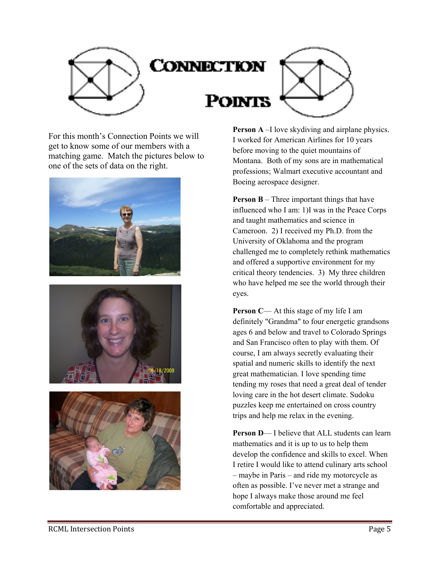

## CONNECTION

**POINTS** 



For this month's Connection Points we will get to know some of our members with a matching game. Match the pictures below to one of the sets of data on the right.







**Person A** –I love skydiving and airplane physics. I worked for American Airlines for 10 years before moving to the quiet mountains of Montana. Both of my sons are in mathematical professions; Walmart executive accountant and Boeing aerospace designer.

**Person B** – Three important things that have influenced who I am: 1)I was in the Peace Corps and taught mathematics and science in Cameroon. 2) I received my Ph.D. from the University of Oklahoma and the program challenged me to completely rethink mathematics and offered a supportive environment for my critical theory tendencies. 3) My three children who have helped me see the world through their eyes.

**Person C— At this stage of my life I am** definitely "Grandma" to four energetic grandsons ages 6 and below and travel to Colorado Springs and San Francisco often to play with them. Of course, I am always secretly evaluating their spatial and numeric skills to identify the next great mathematician. I love spending time tending my roses that need a great deal of tender loving care in the hot desert climate. Sudoku puzzles keep me entertained on cross country trips and help me relax in the evening.

**Person D**— I believe that ALL students can learn mathematics and it is up to us to help them develop the confidence and skills to excel. When I retire I would like to attend culinary arts school – maybe in Paris – and ride my motorcycle as often as possible. I've never met a strange and hope I always make those around me feel comfortable and appreciated.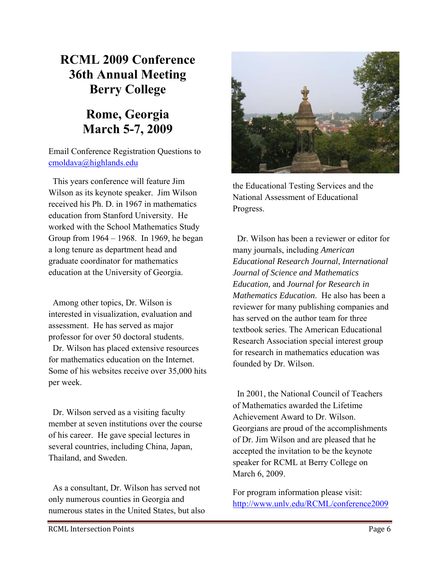### **RCML 2009 Conference 36th Annual Meeting Berry College**

### **Rome, Georgia March 5-7, 2009**

Email Conference Registration Questions to cmoldava@highlands.edu

 This years conference will feature Jim Wilson as its keynote speaker. Jim Wilson received his Ph. D. in 1967 in mathematics education from Stanford University. He worked with the School Mathematics Study Group from 1964 – 1968. In 1969, he began a long tenure as department head and graduate coordinator for mathematics education at the University of Georgia.

 Among other topics, Dr. Wilson is interested in visualization, evaluation and assessment. He has served as major professor for over 50 doctoral students.

 Dr. Wilson has placed extensive resources for mathematics education on the Internet. Some of his websites receive over 35,000 hits per week.

 Dr. Wilson served as a visiting faculty member at seven institutions over the course of his career. He gave special lectures in several countries, including China, Japan, Thailand, and Sweden.

 As a consultant, Dr. Wilson has served not only numerous counties in Georgia and numerous states in the United States, but also



the Educational Testing Services and the National Assessment of Educational Progress.

 Dr. Wilson has been a reviewer or editor for many journals, including *American Educational Research Journal*, *International Journal of Science and Mathematics Education,* and *Journal for Research in Mathematics Education*. He also has been a reviewer for many publishing companies and has served on the author team for three textbook series. The American Educational Research Association special interest group for research in mathematics education was founded by Dr. Wilson.

 In 2001, the National Council of Teachers of Mathematics awarded the Lifetime Achievement Award to Dr. Wilson. Georgians are proud of the accomplishments of Dr. Jim Wilson and are pleased that he accepted the invitation to be the keynote speaker for RCML at Berry College on March 6, 2009.

For program information please visit: http://www.unlv.edu/RCML/conference2009